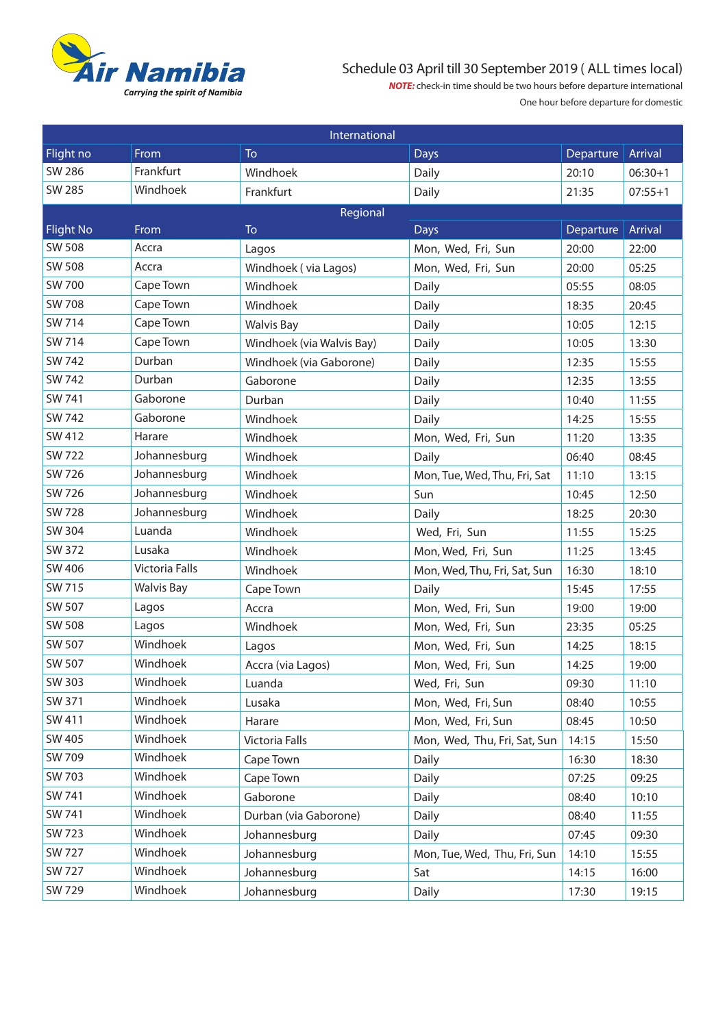

## Schedule 03 April till 30 September 2019 ( ALL times local)

*NOTE:* check-in time should be two hours before departure international One hour before departure for domestic

| International    |                   |                           |                              |           |           |  |  |  |  |
|------------------|-------------------|---------------------------|------------------------------|-----------|-----------|--|--|--|--|
| Flight no        | From              | To                        | <b>Days</b>                  | Departure | Arrival   |  |  |  |  |
| <b>SW 286</b>    | Frankfurt         | Windhoek                  | Daily                        | 20:10     | $06:30+1$ |  |  |  |  |
| <b>SW 285</b>    | Windhoek          | Frankfurt                 | Daily                        | 21:35     | $07:55+1$ |  |  |  |  |
| Regional         |                   |                           |                              |           |           |  |  |  |  |
| <b>Flight No</b> | From              | To                        | <b>Days</b>                  | Departure | Arrival   |  |  |  |  |
| <b>SW 508</b>    | Accra             | Lagos                     | Mon, Wed, Fri, Sun           | 20:00     | 22:00     |  |  |  |  |
| <b>SW 508</b>    | Accra             | Windhoek (via Lagos)      | Mon, Wed, Fri, Sun           | 20:00     | 05:25     |  |  |  |  |
| <b>SW 700</b>    | Cape Town         | Windhoek                  | Daily                        | 05:55     | 08:05     |  |  |  |  |
| <b>SW 708</b>    | Cape Town         | Windhoek                  | Daily                        | 18:35     | 20:45     |  |  |  |  |
| <b>SW 714</b>    | Cape Town         | <b>Walvis Bay</b>         | Daily                        | 10:05     | 12:15     |  |  |  |  |
| <b>SW 714</b>    | Cape Town         | Windhoek (via Walvis Bay) | Daily                        | 10:05     | 13:30     |  |  |  |  |
| SW 742           | Durban            | Windhoek (via Gaborone)   | Daily                        | 12:35     | 15:55     |  |  |  |  |
| <b>SW 742</b>    | Durban            | Gaborone                  | Daily                        | 12:35     | 13:55     |  |  |  |  |
| SW 741           | Gaborone          | Durban                    | Daily                        | 10:40     | 11:55     |  |  |  |  |
| SW 742           | Gaborone          | Windhoek                  | Daily                        | 14:25     | 15:55     |  |  |  |  |
| SW 412           | Harare            | Windhoek                  | Mon, Wed, Fri, Sun           | 11:20     | 13:35     |  |  |  |  |
| <b>SW 722</b>    | Johannesburg      | Windhoek                  | Daily                        | 06:40     | 08:45     |  |  |  |  |
| SW 726           | Johannesburg      | Windhoek                  | Mon, Tue, Wed, Thu, Fri, Sat | 11:10     | 13:15     |  |  |  |  |
| SW 726           | Johannesburg      | Windhoek                  | Sun                          | 10:45     | 12:50     |  |  |  |  |
| <b>SW 728</b>    | Johannesburg      | Windhoek                  | Daily                        | 18:25     | 20:30     |  |  |  |  |
| <b>SW 304</b>    | Luanda            | Windhoek                  | Wed, Fri, Sun                | 11:55     | 15:25     |  |  |  |  |
| SW 372           | Lusaka            | Windhoek                  | Mon, Wed, Fri, Sun           | 11:25     | 13:45     |  |  |  |  |
| SW 406           | Victoria Falls    | Windhoek                  | Mon, Wed, Thu, Fri, Sat, Sun | 16:30     | 18:10     |  |  |  |  |
| SW 715           | <b>Walvis Bay</b> | Cape Town                 | Daily                        | 15:45     | 17:55     |  |  |  |  |
| SW 507           | Lagos             | Accra                     | Mon, Wed, Fri, Sun           | 19:00     | 19:00     |  |  |  |  |
| <b>SW 508</b>    | Lagos             | Windhoek                  | Mon, Wed, Fri, Sun           | 23:35     | 05:25     |  |  |  |  |
| SW 507           | Windhoek          | Lagos                     | Mon, Wed, Fri, Sun           | 14:25     | 18:15     |  |  |  |  |
| SW 507           | Windhoek          | Accra (via Lagos)         | Mon, Wed, Fri, Sun           | 14:25     | 19:00     |  |  |  |  |
| SW 303           | Windhoek          | Luanda                    | Wed, Fri, Sun                | 09:30     | 11:10     |  |  |  |  |
| SW 371           | Windhoek          | Lusaka                    | Mon, Wed, Fri, Sun           | 08:40     | 10:55     |  |  |  |  |
| SW 411           | Windhoek          | Harare                    | Mon, Wed, Fri, Sun           | 08:45     | 10:50     |  |  |  |  |
| SW 405           | Windhoek          | Victoria Falls            | Mon, Wed, Thu, Fri, Sat, Sun | 14:15     | 15:50     |  |  |  |  |
| SW 709           | Windhoek          | Cape Town                 | Daily                        | 16:30     | 18:30     |  |  |  |  |
| SW 703           | Windhoek          | Cape Town                 | Daily                        | 07:25     | 09:25     |  |  |  |  |
| SW 741           | Windhoek          | Gaborone                  | Daily                        | 08:40     | 10:10     |  |  |  |  |
| SW 741           | Windhoek          | Durban (via Gaborone)     | Daily                        | 08:40     | 11:55     |  |  |  |  |
| SW 723           | Windhoek          | Johannesburg              | Daily                        | 07:45     | 09:30     |  |  |  |  |
| <b>SW 727</b>    | Windhoek          | Johannesburg              | Mon, Tue, Wed, Thu, Fri, Sun | 14:10     | 15:55     |  |  |  |  |
| <b>SW 727</b>    | Windhoek          | Johannesburg              | Sat                          | 14:15     | 16:00     |  |  |  |  |
| SW 729           | Windhoek          | Johannesburg              | Daily                        | 17:30     | 19:15     |  |  |  |  |